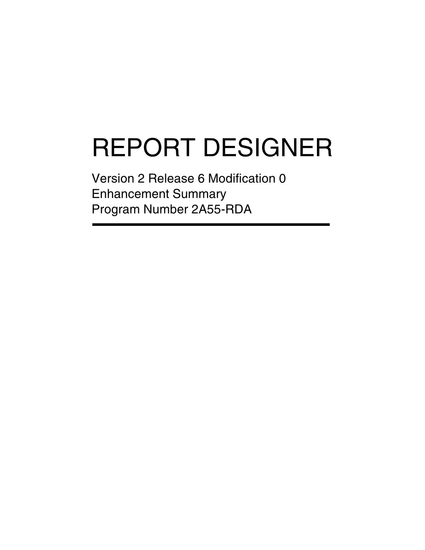# REPORT DESIGNER

Version 2 Release 6 Modification 0 Enhancement Summary Program Number 2A55-RDA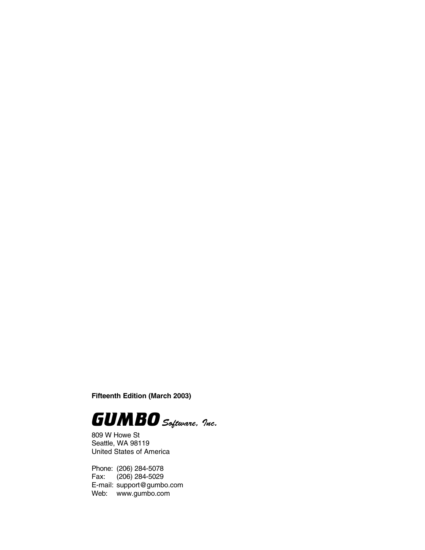**Fifteenth Edition (March 2003)**



809 W Howe St Seattle, WA 98119 United States of America

Phone: (206) 284-5078 Fax: (206) 284-5029 E-mail: support@gumbo.com Web: www.gumbo.com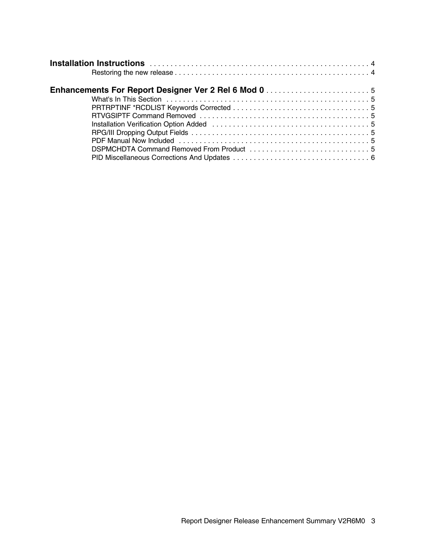| <b>Enhancements For Report Designer Ver 2 Rel 6 Mod 0 </b>                                                                                                                                                                     |  |  |  |  |  |  |  |  |
|--------------------------------------------------------------------------------------------------------------------------------------------------------------------------------------------------------------------------------|--|--|--|--|--|--|--|--|
|                                                                                                                                                                                                                                |  |  |  |  |  |  |  |  |
|                                                                                                                                                                                                                                |  |  |  |  |  |  |  |  |
|                                                                                                                                                                                                                                |  |  |  |  |  |  |  |  |
| Installation Verification Option Added (and the context of the context of the state of the state of the state of the state of the state of the state of the state of the state of the state of the state of the state of the s |  |  |  |  |  |  |  |  |
|                                                                                                                                                                                                                                |  |  |  |  |  |  |  |  |
| PDF Manual Now Included (and account of the contract of the contract of the contract of the PDF Manual D                                                                                                                       |  |  |  |  |  |  |  |  |
|                                                                                                                                                                                                                                |  |  |  |  |  |  |  |  |
|                                                                                                                                                                                                                                |  |  |  |  |  |  |  |  |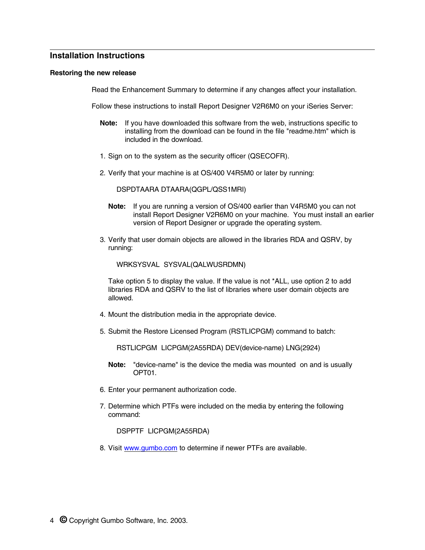# **Installation Instructions**

#### **Restoring the new release**

Read the Enhancement Summary to determine if any changes affect your installation.

Follow these instructions to install Report Designer V2R6M0 on your iSeries Server:

- **Note:** If you have downloaded this software from the web, instructions specific to installing from the download can be found in the file "readme.htm" which is included in the download.
- 1. Sign on to the system as the security officer (QSECOFR).
- 2. Verify that your machine is at OS/400 V4R5M0 or later by running:

DSPDTAARA DTAARA(QGPL/QSS1MRI)

- **Note:** If you are running a version of OS/400 earlier than V4R5M0 you can not install Report Designer V2R6M0 on your machine. You must install an earlier version of Report Designer or upgrade the operating system.
- 3. Verify that user domain objects are allowed in the libraries RDA and QSRV, by running:

WRKSYSVAL SYSVAL(QALWUSRDMN)

Take option 5 to display the value. If the value is not \*ALL, use option 2 to add libraries RDA and QSRV to the list of libraries where user domain objects are allowed.

- 4. Mount the distribution media in the appropriate device.
- 5. Submit the Restore Licensed Program (RSTLICPGM) command to batch:

RSTLICPGM LICPGM(2A55RDA) DEV(device-name) LNG(2924)

- **Note:** "device-name" is the device the media was mounted on and is usually OPT01.
- 6. Enter your permanent authorization code.
- 7. Determine which PTFs were included on the media by entering the following command:

DSPPTF LICPGM(2A55RDA)

8. Visit www.gumbo.com to determine if newer PTFs are available.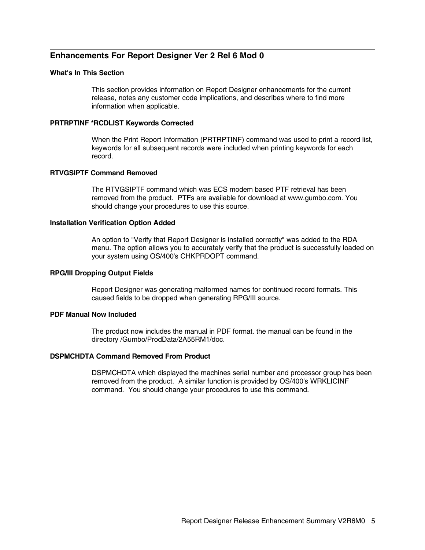# **Enhancements For Report Designer Ver 2 Rel 6 Mod 0**

### **What's In This Section**

This section provides information on Report Designer enhancements for the current release, notes any customer code implications, and describes where to find more information when applicable.

#### **PRTRPTINF \*RCDLIST Keywords Corrected**

When the Print Report Information (PRTRPTINF) command was used to print a record list, keywords for all subsequent records were included when printing keywords for each record.

## **RTVGSIPTF Command Removed**

The RTVGSIPTF command which was ECS modem based PTF retrieval has been removed from the product. PTFs are available for download at www.gumbo.com. You should change your procedures to use this source.

#### **Installation Verification Option Added**

An option to "Verify that Report Designer is installed correctly" was added to the RDA menu. The option allows you to accurately verify that the product is successfully loaded on your system using OS/400's CHKPRDOPT command.

#### **RPG/III Dropping Output Fields**

Report Designer was generating malformed names for continued record formats. This caused fields to be dropped when generating RPG/III source.

# **PDF Manual Now Included**

The product now includes the manual in PDF format. the manual can be found in the directory /Gumbo/ProdData/2A55RM1/doc.

### **DSPMCHDTA Command Removed From Product**

DSPMCHDTA which displayed the machines serial number and processor group has been removed from the product. A similar function is provided by OS/400's WRKLICINF command. You should change your procedures to use this command.